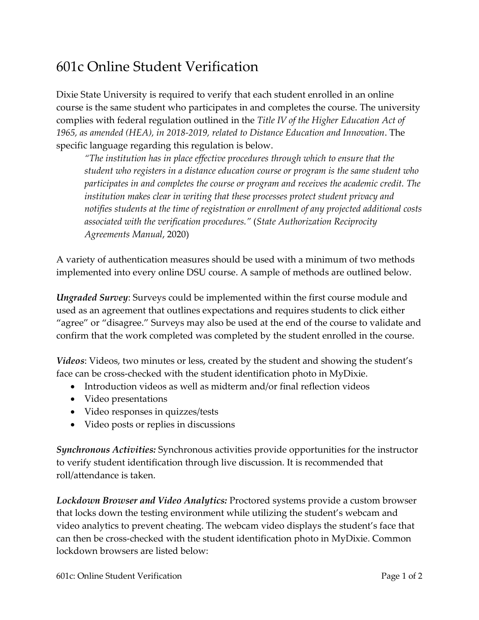## 601c Online Student Verification

Dixie State University is required to verify that each student enrolled in an online course is the same student who participates in and completes the course. The university complies with federal regulation outlined in the *Title IV of the Higher [Education](https://www2.ed.gov/policy/highered/reg/hearulemaking/2018/index.html) Act of 1965, as amended (HEA), in [2018-2019,](https://www2.ed.gov/policy/highered/reg/hearulemaking/2018/index.html) related to Distance Education and Innovation*. The specific language regarding this regulation is below.

*"The institution has in place effective procedures through which to ensure that the student who registers in a distance education course or program is the same student who participates in and completes the course or program and receives the academic credit. The institution makes clear in writing that these processes protect student privacy and notifies students at the time of registration or enrollment of any projected additional costs associated with the verification procedures."* (*State [Authorization](https://www.nc-sara.org/sites/default/files/files/2020-07/SARA_Manual_20.2_Final_7.13.20.pdf) Reciprocity [Agreements](https://www.nc-sara.org/sites/default/files/files/2020-07/SARA_Manual_20.2_Final_7.13.20.pdf) Manual*, 2020)

A variety of authentication measures should be used with a minimum of two methods implemented into every online DSU course. A sample of methods are outlined below.

*Ungraded Survey*: Surveys could be implemented within the first course module and used as an agreement that outlines expectations and requires students to click either "agree" or "disagree." Surveys may also be used at the end of the course to validate and confirm that the work completed was completed by the student enrolled in the course.

*Videos*: Videos, two minutes or less, created by the student and showing the student's face can be cross-checked with the student identification photo in MyDixie.

- Introduction videos as well as midterm and/or final reflection videos
- Video presentations
- Video responses in quizzes/tests
- Video posts or replies in discussions

*Synchronous Activities:* Synchronous activities provide opportunities for the instructor to verify student identification through live discussion. It is recommended that roll/attendance is taken.

*Lockdown Browser and Video Analytics:* Proctored systems provide a custom browser that locks down the testing environment while utilizing the student's webcam and video analytics to prevent cheating. The webcam video displays the student's face that can then be cross-checked with the student identification photo in MyDixie. Common lockdown browsers are listed below: